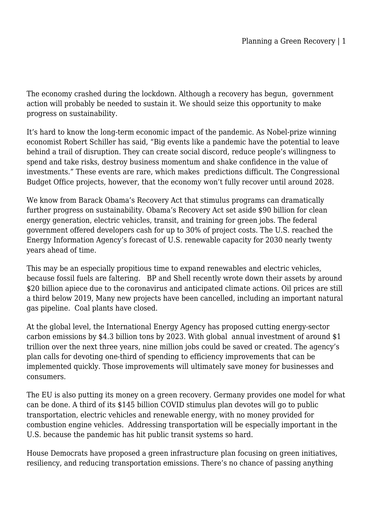The economy crashed during the lockdown. Although a recovery has begun, government action will probably be needed to sustain it. We should seize this opportunity to make progress on sustainability.

It's hard to know the long-term economic impact of the pandemic. As Nobel-prize winning economist Robert Schiller has said, "Big events like a pandemic have the potential to leave behind a trail of disruption. They can create social discord, reduce people's willingness to spend and take risks, destroy business momentum and shake confidence in the value of investments." These events are rare, which makes predictions difficult. The Congressional Budget Office projects, however, that the economy won't fully recover until around 2028.

We know from Barack Obama's Recovery Act that stimulus programs can dramatically further progress on sustainability. Obama's Recovery Act set aside \$90 billion for clean energy generation, electric vehicles, transit, and training for green jobs. The federal government offered developers cash for up to 30% of project costs. The U.S. reached the Energy Information Agency's forecast of U.S. renewable capacity for 2030 nearly twenty years ahead of time.

This may be an especially propitious time to expand renewables and electric vehicles, because fossil fuels are faltering. BP and Shell recently wrote down their assets by around \$20 billion apiece due to the coronavirus and anticipated climate actions. Oil prices are still a third below 2019, Many new projects have been cancelled, including an important natural gas pipeline. Coal plants have closed.

At the global level, the International Energy Agency has proposed cutting energy-sector carbon emissions by \$4.3 billion tons by 2023. With global annual investment of around \$1 trillion over the next three years, nine million jobs could be saved or created. The agency's plan calls for devoting one-third of spending to efficiency improvements that can be implemented quickly. Those improvements will ultimately save money for businesses and consumers.

The EU is also putting its money on a green recovery. Germany provides one model for what can be done. A third of its \$145 billion COVID stimulus plan devotes will go to public transportation, electric vehicles and renewable energy, with no money provided for combustion engine vehicles. Addressing transportation will be especially important in the U.S. because the pandemic has hit public transit systems so hard.

House Democrats have proposed a green infrastructure plan focusing on green initiatives, resiliency, and reducing transportation emissions. There's no chance of passing anything